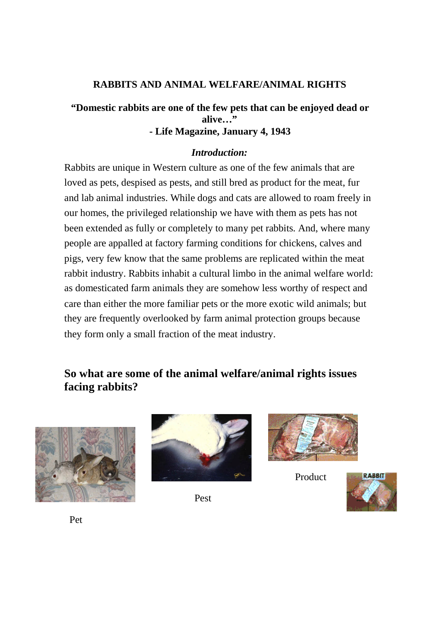# **RABBITS AND ANIMAL WELFARE/ANIMAL RIGHTS**

## **"Domestic rabbits are one of the few pets that can be enjoyed dead or alive…" - Life Magazine, January 4, 1943**

#### *Introduction:*

Rabbits are unique in Western culture as one of the few animals that are loved as pets, despised as pests, and still bred as product for the meat, fur and lab animal industries. While dogs and cats are allowed to roam freely in our homes, the privileged relationship we have with them as pets has not been extended as fully or completely to many pet rabbits. And, where many people are appalled at factory farming conditions for chickens, calves and pigs, very few know that the same problems are replicated within the meat rabbit industry. Rabbits inhabit a cultural limbo in the animal welfare world: as domesticated farm animals they are somehow less worthy of respect and care than either the more familiar pets or the more exotic wild animals; but they are frequently overlooked by farm animal protection groups because they form only a small fraction of the meat industry.

# **So what are some of the animal welfare/animal rights issues facing rabbits?**





Pest



Product



Pet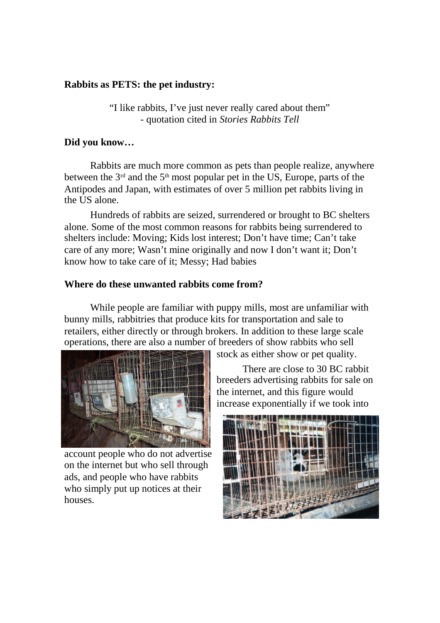### **Rabbits as PETS: the pet industry:**

"I like rabbits, I've just never really cared about them" - quotation cited in *Stories Rabbits Tell*

## **Did you know…**

Rabbits are much more common as pets than people realize, anywhere between the  $3<sup>rd</sup>$  and the  $5<sup>th</sup>$  most popular pet in the US, Europe, parts of the Antipodes and Japan, with estimates of over 5 million pet rabbits living in the US alone.

Hundreds of rabbits are seized, surrendered or brought to BC shelters alone. Some of the most common reasons for rabbits being surrendered to shelters include: Moving; Kids lost interest; Don't have time; Can't take care of any more; Wasn't mine originally and now I don't want it; Don't know how to take care of it; Messy; Had babies

## **Where do these unwanted rabbits come from?**

While people are familiar with puppy mills, most are unfamiliar with bunny mills, rabbitries that produce kits for transportation and sale to retailers, either directly or through brokers. In addition to these large scale operations, there are also a number of breeders of show rabbits who sell



account people who do not advertise on the internet but who sell through ads, and people who have rabbits who simply put up notices at their houses.

stock as either show or pet quality.

There are close to 30 BC rabbit breeders advertising rabbits for sale on the internet, and this figure would increase exponentially if we took into

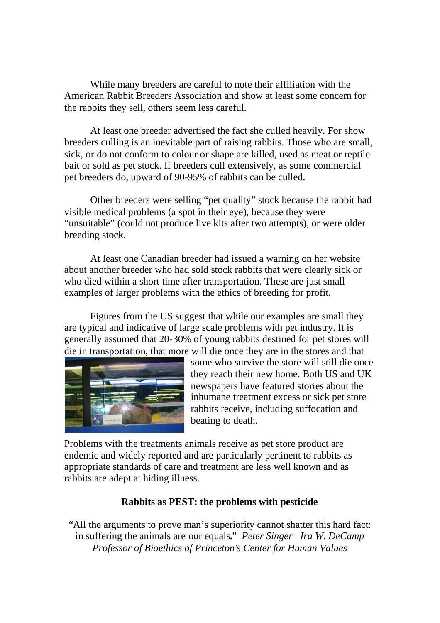While many breeders are careful to note their affiliation with the American Rabbit Breeders Association and show at least some concern for the rabbits they sell, others seem less careful.

At least one breeder advertised the fact she culled heavily. For show breeders culling is an inevitable part of raising rabbits. Those who are small, sick, or do not conform to colour or shape are killed, used as meat or reptile bait or sold as pet stock. If breeders cull extensively, as some commercial pet breeders do, upward of 90-95% of rabbits can be culled.

Other breeders were selling "pet quality" stock because the rabbit had visible medical problems (a spot in their eye), because they were "unsuitable" (could not produce live kits after two attempts), or were older breeding stock.

At least one Canadian breeder had issued a warning on her website about another breeder who had sold stock rabbits that were clearly sick or who died within a short time after transportation. These are just small examples of larger problems with the ethics of breeding for profit.

Figures from the US suggest that while our examples are small they are typical and indicative of large scale problems with pet industry. It is generally assumed that 20-30% of young rabbits destined for pet stores will die in transportation, that more will die once they are in the stores and that



some who survive the store will still die once they reach their new home. Both US and UK newspapers have featured stories about the inhumane treatment excess or sick pet store rabbits receive, including suffocation and beating to death.

Problems with the treatments animals receive as pet store product are endemic and widely reported and are particularly pertinent to rabbits as appropriate standards of care and treatment are less well known and as rabbits are adept at hiding illness.

### **Rabbits as PEST: the problems with pesticide**

"All the arguments to prove man's superiority cannot shatter this hard fact: in suffering the animals are our equals**.**" *Peter Singer Ira W. DeCamp Professor of Bioethics of Princeton's Center for Human Values*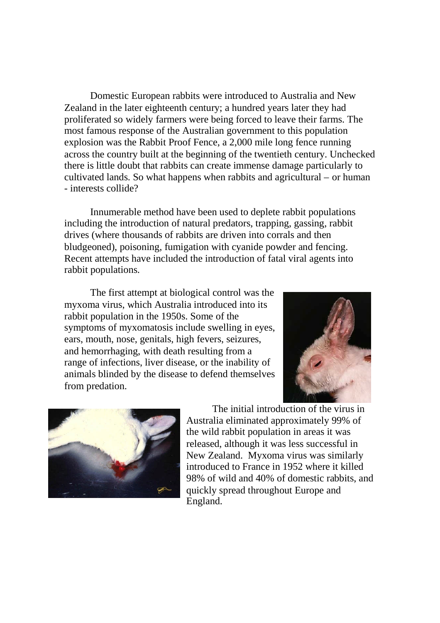Domestic European rabbits were introduced to Australia and New Zealand in the later eighteenth century; a hundred years later they had proliferated so widely farmers were being forced to leave their farms. The most famous response of the Australian government to this population explosion was the Rabbit Proof Fence, a 2,000 mile long fence running across the country built at the beginning of the twentieth century. Unchecked there is little doubt that rabbits can create immense damage particularly to cultivated lands. So what happens when rabbits and agricultural – or human - interests collide?

Innumerable method have been used to deplete rabbit populations including the introduction of natural predators, trapping, gassing, rabbit drives (where thousands of rabbits are driven into corrals and then bludgeoned), poisoning, fumigation with cyanide powder and fencing. Recent attempts have included the introduction of fatal viral agents into rabbit populations.

The first attempt at biological control was the myxoma virus, which Australia introduced into its rabbit population in the 1950s. Some of the symptoms of myxomatosis include swelling in eyes, ears, mouth, nose, genitals, high fevers, seizures, and hemorrhaging, with death resulting from a range of infections, liver disease, or the inability of animals blinded by the disease to defend themselves from predation.





The initial introduction of the virus in Australia eliminated approximately 99% of the wild rabbit population in areas it was released, although it was less successful in New Zealand. Myxoma virus was similarly introduced to France in 1952 where it killed 98% of wild and 40% of domestic rabbits, and quickly spread throughout Europe and England.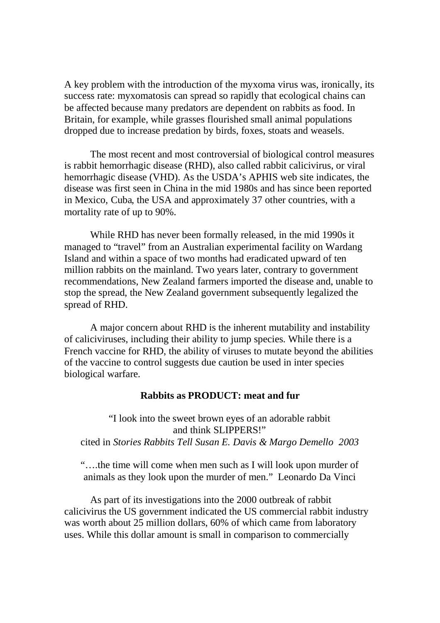A key problem with the introduction of the myxoma virus was, ironically, its success rate: myxomatosis can spread so rapidly that ecological chains can be affected because many predators are dependent on rabbits as food. In Britain, for example, while grasses flourished small animal populations dropped due to increase predation by birds, foxes, stoats and weasels.

The most recent and most controversial of biological control measures is rabbit hemorrhagic disease (RHD), also called rabbit calicivirus, or viral hemorrhagic disease (VHD). As the USDA's APHIS web site indicates, the disease was first seen in China in the mid 1980s and has since been reported in Mexico, Cuba, the USA and approximately 37 other countries, with a mortality rate of up to 90%.

While RHD has never been formally released, in the mid 1990s it managed to "travel" from an Australian experimental facility on Wardang Island and within a space of two months had eradicated upward of ten million rabbits on the mainland. Two years later, contrary to government recommendations, New Zealand farmers imported the disease and, unable to stop the spread, the New Zealand government subsequently legalized the spread of RHD.

A major concern about RHD is the inherent mutability and instability of caliciviruses, including their ability to jump species. While there is a French vaccine for RHD, the ability of viruses to mutate beyond the abilities of the vaccine to control suggests due caution be used in inter species biological warfare.

#### **Rabbits as PRODUCT: meat and fur**

"I look into the sweet brown eyes of an adorable rabbit and think SLIPPERS!" cited in *Stories Rabbits Tell Susan E. Davis & Margo Demello 2003*

"….the time will come when men such as I will look upon murder of animals as they look upon the murder of men." Leonardo Da Vinci

As part of its investigations into the 2000 outbreak of rabbit calicivirus the US government indicated the US commercial rabbit industry was worth about 25 million dollars, 60% of which came from laboratory uses. While this dollar amount is small in comparison to commercially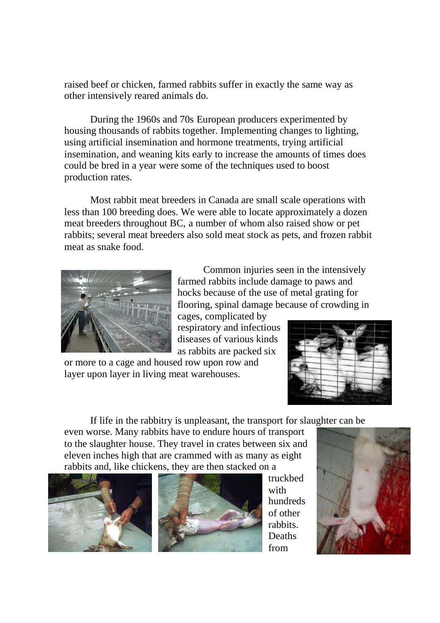raised beef or chicken, farmed rabbits suffer in exactly the same way as other intensively reared animals do.

During the 1960s and 70s European producers experimented by housing thousands of rabbits together. Implementing changes to lighting, using artificial insemination and hormone treatments, trying artificial insemination, and weaning kits early to increase the amounts of times does could be bred in a year were some of the techniques used to boost production rates.

Most rabbit meat breeders in Canada are small scale operations with less than 100 breeding does. We were able to locate approximately a dozen meat breeders throughout BC, a number of whom also raised show or pet rabbits; several meat breeders also sold meat stock as pets, and frozen rabbit meat as snake food.



Common injuries seen in the intensively farmed rabbits include damage to paws and hocks because of the use of metal grating for flooring, spinal damage because of crowding in

cages, complicated by respiratory and infectious diseases of various kinds as rabbits are packed six

or more to a cage and housed row upon row and layer upon layer in living meat warehouses.



If life in the rabbitry is unpleasant, the transport for slaughter can be

even worse. Many rabbits have to endure hours of transport to the slaughter house. They travel in crates between six and eleven inches high that are crammed with as many as eight rabbits and, like chickens, they are then stacked on a





truckbed with hundreds of other rabbits. **Deaths** from

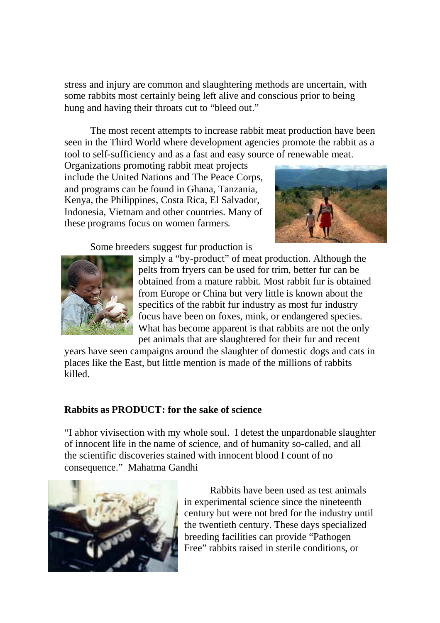stress and injury are common and slaughtering methods are uncertain, with some rabbits most certainly being left alive and conscious prior to being hung and having their throats cut to "bleed out."

The most recent attempts to increase rabbit meat production have been seen in the Third World where development agencies promote the rabbit as a tool to self-sufficiency and as a fast and easy source of renewable meat.

Organizations promoting rabbit meat projects include the United Nations and The Peace Corps, and programs can be found in Ghana, Tanzania, Kenya, the Philippines, Costa Rica, El Salvador, Indonesia, Vietnam and other countries. Many of these programs focus on women farmers.



Some breeders suggest fur production is



simply a "by-product" of meat production. Although the pelts from fryers can be used for trim, better fur can be obtained from a mature rabbit. Most rabbit fur is obtained from Europe or China but very little is known about the specifics of the rabbit fur industry as most fur industry focus have been on foxes, mink, or endangered species. What has become apparent is that rabbits are not the only pet animals that are slaughtered for their fur and recent

years have seen campaigns around the slaughter of domestic dogs and cats in places like the East, but little mention is made of the millions of rabbits killed.

### **Rabbits as PRODUCT: for the sake of science**

"I abhor vivisection with my whole soul. I detest the unpardonable slaughter of innocent life in the name of science, and of humanity so-called, and all the scientific discoveries stained with innocent blood I count of no consequence." Mahatma Gandhi



Rabbits have been used as test animals in experimental science since the nineteenth century but were not bred for the industry until the twentieth century. These days specialized breeding facilities can provide "Pathogen Free" rabbits raised in sterile conditions, or